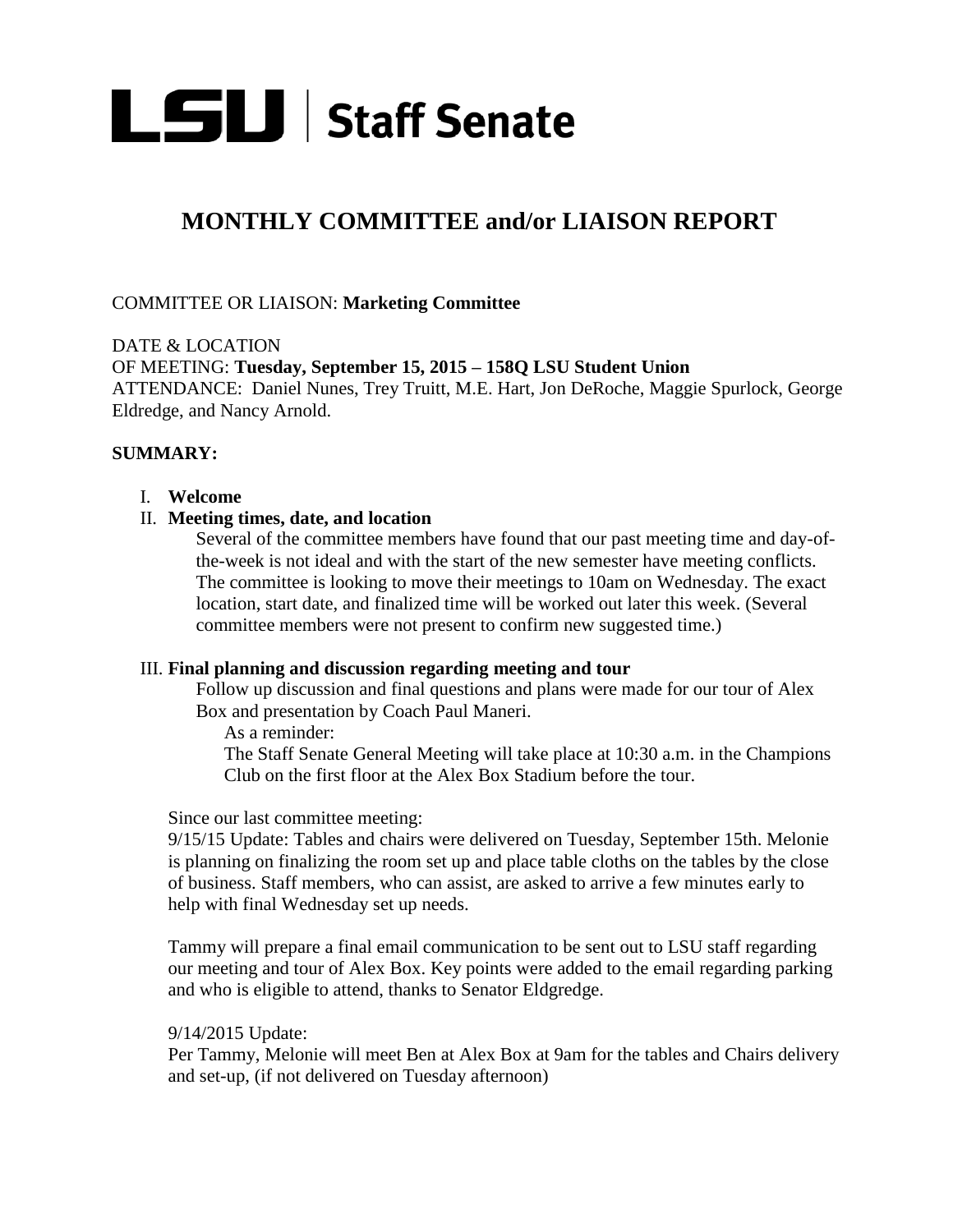

# **MONTHLY COMMITTEE and/or LIAISON REPORT**

# COMMITTEE OR LIAISON: **Marketing Committee**

DATE & LOCATION OF MEETING: **Tuesday, September 15, 2015 – 158Q LSU Student Union**  ATTENDANCE: Daniel Nunes, Trey Truitt, M.E. Hart, Jon DeRoche, Maggie Spurlock, George Eldredge, and Nancy Arnold.

# **SUMMARY:**

## I. **Welcome**

## II. **Meeting times, date, and location**

Several of the committee members have found that our past meeting time and day-ofthe-week is not ideal and with the start of the new semester have meeting conflicts. The committee is looking to move their meetings to 10am on Wednesday. The exact location, start date, and finalized time will be worked out later this week. (Several committee members were not present to confirm new suggested time.)

#### III. **Final planning and discussion regarding meeting and tour**

Follow up discussion and final questions and plans were made for our tour of Alex Box and presentation by Coach Paul Maneri.

As a reminder:

The Staff Senate General Meeting will take place at 10:30 a.m. in the Champions Club on the first floor at the Alex Box Stadium before the tour.

#### Since our last committee meeting:

9/15/15 Update: Tables and chairs were delivered on Tuesday, September 15th. Melonie is planning on finalizing the room set up and place table cloths on the tables by the close of business. Staff members, who can assist, are asked to arrive a few minutes early to help with final Wednesday set up needs.

Tammy will prepare a final email communication to be sent out to LSU staff regarding our meeting and tour of Alex Box. Key points were added to the email regarding parking and who is eligible to attend, thanks to Senator Eldgredge.

## 9/14/2015 Update:

Per Tammy, Melonie will meet Ben at Alex Box at 9am for the tables and Chairs delivery and set-up, (if not delivered on Tuesday afternoon)